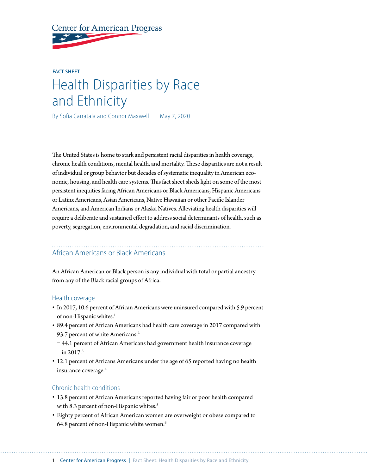**Center for American Progress** 

# **FACT SHEET** Health Disparities by Race and Ethnicity

By Sofia Carratala and Connor Maxwell May 7, 2020

The United States is home to stark and persistent racial disparities in health coverage, chronic health conditions, mental health, and mortality. These disparities are not a result of individual or group behavior but decades of systematic inequality in American economic, housing, and health care systems. This fact sheet sheds light on some of the most persistent inequities facing African Americans or Black Americans, Hispanic Americans or Latinx Americans, Asian Americans, Native Hawaiian or other Pacific Islander Americans, and American Indians or Alaska Natives. Alleviating health disparities will require a deliberate and sustained effort to address social determinants of health, such as poverty, segregation, environmental degradation, and racial discrimination.

#### African Americans or Black Americans

An African American or Black person is any individual with total or partial ancestry from any of the Black racial groups of Africa.

#### Health coverage

- In 2017, 10.6 percent of African Americans were uninsured compared with 5.9 percent of non-Hispanic whites.<sup>1</sup>
- 89.4 percent of African Americans had health care coverage in 2017 compared with 93.7 percent of white Americans.<sup>2</sup>
- 44.1 percent of African Americans had government health insurance coverage in 2017.3
- 12.1 percent of Africans Americans under the age of 65 reported having no health insurance coverage.<sup>4</sup>

#### Chronic health conditions

- 13.8 percent of African Americans reported having fair or poor health compared with 8.3 percent of non-Hispanic whites.<sup>5</sup>
- Eighty percent of African American women are overweight or obese compared to 64.8 percent of non-Hispanic white women.<sup>6</sup>

1 Center for American Progress | Fact Sheet: Health Disparities by Race and Ethnicity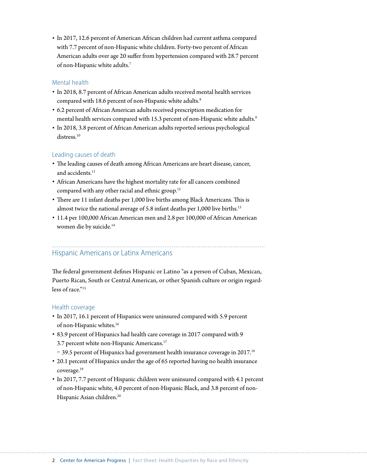• In 2017, 12.6 percent of American African children had current asthma compared with 7.7 percent of non-Hispanic white children. Forty-two percent of African American adults over age 20 suffer from hypertension compared with 28.7 percent of non-Hispanic white adults.7

## Mental health

- In 2018, 8.7 percent of African American adults received mental health services compared with 18.6 percent of non-Hispanic white adults.<sup>8</sup>
- 6.2 percent of African American adults received prescription medication for mental health services compared with 15.3 percent of non-Hispanic white adults.<sup>9</sup>
- In 2018, 3.8 percent of African American adults reported serious psychological distress<sup>10</sup>

# Leading causes of death

- The leading causes of death among African Americans are heart disease, cancer, and accidents<sup>11</sup>
- African Americans have the highest mortality rate for all cancers combined compared with any other racial and ethnic group.<sup>12</sup>
- There are 11 infant deaths per 1,000 live births among Black Americans. This is almost twice the national average of 5.8 infant deaths per 1,000 live births.<sup>13</sup>
- 11.4 per 100,000 African American men and 2.8 per 100,000 of African American women die by suicide.14

# Hispanic Americans or Latinx Americans

The federal government defines Hispanic or Latino "as a person of Cuban, Mexican, Puerto Rican, South or Central American, or other Spanish culture or origin regardless of race."<sup>15</sup>

#### Health coverage

- In 2017, 16.1 percent of Hispanics were uninsured compared with 5.9 percent of non-Hispanic whites.<sup>16</sup>
- 83.9 percent of Hispanics had health care coverage in 2017 compared with 9 3.7 percent white non-Hispanic Americans.<sup>17</sup>
- $-$  39.5 percent of Hispanics had government health insurance coverage in 2017.<sup>18</sup>
- 20.1 percent of Hispanics under the age of 65 reported having no health insurance coverage.19
- In 2017, 7.7 percent of Hispanic children were uninsured compared with 4.1 percent of non-Hispanic white, 4.0 percent of non-Hispanic Black, and 3.8 percent of non-Hispanic Asian children.<sup>20</sup>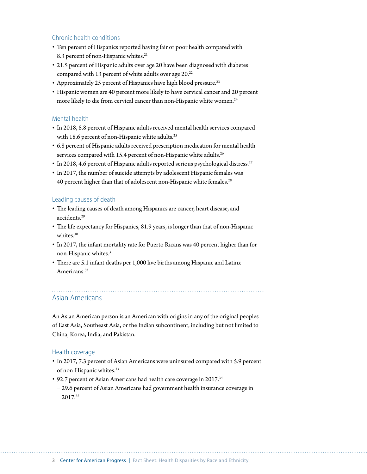### Chronic health conditions

- Ten percent of Hispanics reported having fair or poor health compared with 8.3 percent of non-Hispanic whites.<sup>21</sup>
- 21.5 percent of Hispanic adults over age 20 have been diagnosed with diabetes compared with 13 percent of white adults over age 20.<sup>22</sup>
- Approximately 25 percent of Hispanics have high blood pressure.<sup>23</sup>
- Hispanic women are 40 percent more likely to have cervical cancer and 20 percent more likely to die from cervical cancer than non-Hispanic white women.<sup>24</sup>

#### Mental health

- In 2018, 8.8 percent of Hispanic adults received mental health services compared with 18.6 percent of non-Hispanic white adults.<sup>25</sup>
- 6.8 percent of Hispanic adults received prescription medication for mental health services compared with 15.4 percent of non-Hispanic white adults.<sup>26</sup>
- In 2018, 4.6 percent of Hispanic adults reported serious psychological distress.<sup>27</sup>
- In 2017, the number of suicide attempts by adolescent Hispanic females was 40 percent higher than that of adolescent non-Hispanic white females.<sup>28</sup>

#### Leading causes of death

- The leading causes of death among Hispanics are cancer, heart disease, and accidents.29
- The life expectancy for Hispanics, 81.9 years, is longer than that of non-Hispanic whites.<sup>30</sup>
- In 2017, the infant mortality rate for Puerto Ricans was 40 percent higher than for non-Hispanic whites.31
- There are 5.1 infant deaths per 1,000 live births among Hispanic and Latinx Americans.<sup>32</sup>

# Asian Americans

An Asian American person is an American with origins in any of the original peoples of East Asia, Southeast Asia, or the Indian subcontinent, including but not limited to China, Korea, India, and Pakistan.

#### Health coverage

- In 2017, 7.3 percent of Asian Americans were uninsured compared with 5.9 percent of non-Hispanic whites.33
- 92.7 percent of Asian Americans had health care coverage in 2017.<sup>34</sup>
- 29.6 percent of Asian Americans had government health insurance coverage in 2017.35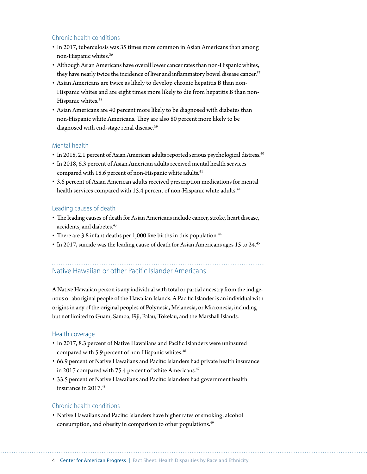# Chronic health conditions

- In 2017, tuberculosis was 35 times more common in Asian Americans than among non-Hispanic whites.36
- Although Asian Americans have overall lower cancer rates than non-Hispanic whites, they have nearly twice the incidence of liver and inflammatory bowel disease cancer.<sup>37</sup>
- Asian Americans are twice as likely to develop chronic hepatitis B than non-Hispanic whites and are eight times more likely to die from hepatitis B than non-Hispanic whites.<sup>38</sup>
- Asian Americans are 40 percent more likely to be diagnosed with diabetes than non-Hispanic white Americans. They are also 80 percent more likely to be diagnosed with end-stage renal disease.<sup>39</sup>

#### Mental health

- In 2018, 2.1 percent of Asian American adults reported serious psychological distress.<sup>40</sup>
- In 2018, 6.3 percent of Asian American adults received mental health services compared with 18.6 percent of non-Hispanic white adults.<sup>41</sup>
- 3.6 percent of Asian American adults received prescription medications for mental health services compared with 15.4 percent of non-Hispanic white adults.<sup>42</sup>

#### Leading causes of death

- The leading causes of death for Asian Americans include cancer, stroke, heart disease, accidents. and diabetes.<sup>43</sup>
- There are 3.8 infant deaths per 1,000 live births in this population.<sup>44</sup>
- In 2017, suicide was the leading cause of death for Asian Americans ages 15 to 24.<sup>45</sup>

# Native Hawaiian or other Pacific Islander Americans

A Native Hawaiian person is any individual with total or partial ancestry from the indigenous or aboriginal people of the Hawaiian Islands. A Pacific Islander is an individual with origins in any of the original peoples of Polynesia, Melanesia, or Micronesia, including but not limited to Guam, Samoa, Fiji, Palau, Tokelau, and the Marshall Islands.

#### Health coverage

- In 2017, 8.3 percent of Native Hawaiians and Pacific Islanders were uninsured compared with 5.9 percent of non-Hispanic whites.<sup>46</sup>
- 66.9 percent of Native Hawaiians and Pacific Islanders had private health insurance in 2017 compared with 75.4 percent of white Americans.<sup>47</sup>
- 33.5 percent of Native Hawaiians and Pacific Islanders had government health insurance in 2017.48

#### Chronic health conditions

• Native Hawaiians and Pacific Islanders have higher rates of smoking, alcohol consumption, and obesity in comparison to other populations.49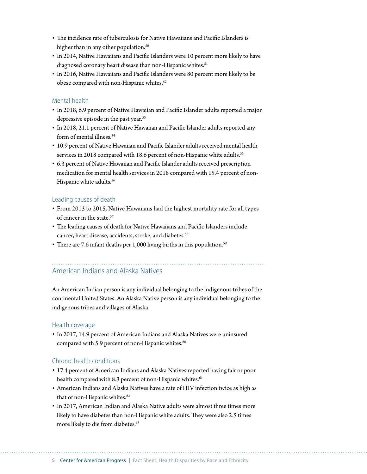- The incidence rate of tuberculosis for Native Hawaiians and Pacific Islanders is higher than in any other population.<sup>50</sup>
- In 2014, Native Hawaiians and Pacific Islanders were 10 percent more likely to have diagnosed coronary heart disease than non-Hispanic whites.<sup>51</sup>
- In 2016, Native Hawaiians and Pacific Islanders were 80 percent more likely to be obese compared with non-Hispanic whites.<sup>52</sup>

## Mental health

- In 2018, 6.9 percent of Native Hawaiian and Pacific Islander adults reported a major depressive episode in the past year.<sup>53</sup>
- In 2018, 21.1 percent of Native Hawaiian and Pacific Islander adults reported any form of mental illness.<sup>54</sup>
- 10.9 percent of Native Hawaiian and Pacific Islander adults received mental health services in 2018 compared with 18.6 percent of non-Hispanic white adults.<sup>55</sup>
- 6.3 percent of Native Hawaiian and Pacific Islander adults received prescription medication for mental health services in 2018 compared with 15.4 percent of non-Hispanic white adults.<sup>56</sup>

### Leading causes of death

- From 2013 to 2015, Native Hawaiians had the highest mortality rate for all types of cancer in the state.<sup>57</sup>
- The leading causes of death for Native Hawaiians and Pacific Islanders include cancer, heart disease, accidents, stroke, and diabetes.<sup>58</sup>
- There are 7.6 infant deaths per 1,000 living births in this population.<sup>59</sup>

# American Indians and Alaska Natives

An American Indian person is any individual belonging to the indigenous tribes of the continental United States. An Alaska Native person is any individual belonging to the indigenous tribes and villages of Alaska.

#### Health coverage

• In 2017, 14.9 percent of American Indians and Alaska Natives were uninsured compared with 5.9 percent of non-Hispanic whites.<sup>60</sup>

# Chronic health conditions

- 17.4 percent of American Indians and Alaska Natives reported having fair or poor health compared with 8.3 percent of non-Hispanic whites.<sup>61</sup>
- American Indians and Alaska Natives have a rate of HIV infection twice as high as that of non-Hispanic whites.<sup>62</sup>
- In 2017, American Indian and Alaska Native adults were almost three times more likely to have diabetes than non-Hispanic white adults. They were also 2.5 times more likely to die from diabetes.<sup>63</sup>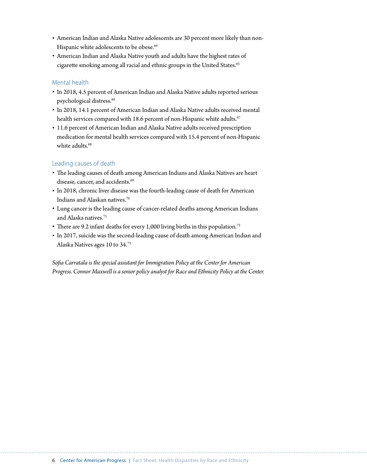- American Indian and Alaska Native adolescents are 30 percent more likely than non-Hispanic white adolescents to be obese.<sup>64</sup>
- American Indian and Alaska Native youth and adults have the highest rates of cigarette smoking among all racial and ethnic groups in the United States.<sup>65</sup>

## Mental health

- In 2018, 4.5 percent of American Indian and Alaska Native adults reported serious psychological distress.<sup>66</sup>
- In 2018, 14.1 percent of American Indian and Alaska Native adults received mental health services compared with 18.6 percent of non-Hispanic white adults.<sup>67</sup>
- 11.6 percent of American Indian and Alaska Native adults received prescription medication for mental health services compared with 15.4 percent of non-Hispanic white adults.<sup>68</sup>

# Leading causes of death

- The leading causes of death among American Indians and Alaska Natives are heart disease, cancer, and accidents.<sup>69</sup>
- In 2018, chronic liver disease was the fourth-leading cause of death for American Indians and Alaskan natives. $\!\!^{70}$
- Lung cancer is the leading cause of cancer-related deaths among American Indians and Alaska natives.<sup>71</sup>
- There are 9.2 infant deaths for every 1,000 living births in this population.<sup>72</sup>
- In 2017, suicide was the second-leading cause of death among American Indian and Alaska Natives ages 10 to 34.73

*Sofia Carratala is the special assistant for Immigration Policy at the Center for American Progress. Connor Maxwell is a senior policy analyst for Race and Ethnicity Policy at the Center.*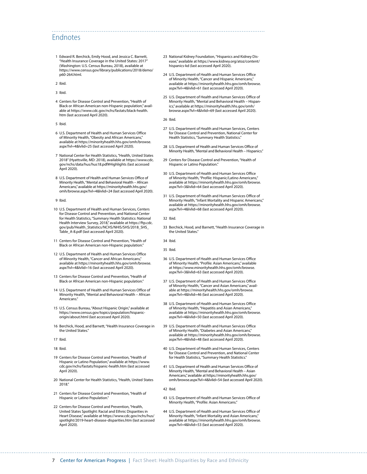# Endnotes

- 1 Edward R. Berchick, Emily Hood, and Jessica C. Barnett, "Health Insurance Coverage in the United States: 2017" (Washington: U.S. Census Bureau, 2018), available at [https://www.census.gov/library/publications/2018/demo/](https://www.census.gov/library/publications/2018/demo/p60-264.html) [p60-264.html](https://www.census.gov/library/publications/2018/demo/p60-264.html).
- 2 Ibid.
- 3 Ibid.
- 4 Centers for Disease Control and Prevention, "Health of Black or African American non-Hispanic population," available at [https://www.cdc.gov/nchs/fastats/black-health.](https://www.cdc.gov/nchs/fastats/black-health.htm) [htm](https://www.cdc.gov/nchs/fastats/black-health.htm) (last accessed April 2020).
- 5 Ibid.
- 6 U.S. Department of Health and Human Services Office of Minority Health, "Obesity and African Americans," available at [https://minorityhealth.hhs.gov/omh/browse.](https://minorityhealth.hhs.gov/omh/browse.aspx?lvl=4&lvlid=25) [aspx?lvl=4&lvlid=25](https://minorityhealth.hhs.gov/omh/browse.aspx?lvl=4&lvlid=25) (last accessed April 2020).
- 7 National Center for Health Statistics, "Health, United States 2018" (Hyattsville, MD: 2018), available at https://www.cdc. gov/nchs/data/hus/hus18.pdf#Highlights (last accessed April 2020).
- 8 U.S. Department of Health and Human Services Office of Minority Health, "Mental and Behavioral Health – African Americans," available at [https://minorityhealth.hhs.gov/](https://minorityhealth.hhs.gov/omh/browse.aspx?lvl=4&lvlid=24) [omh/browse.aspx?lvl=4&lvlid=24](https://minorityhealth.hhs.gov/omh/browse.aspx?lvl=4&lvlid=24) (last accessed April 2020).
- 9 Ibid.
- 10 U.S. Department of Health and Human Services, Centers for Disease Control and Prevention, and National Center for Health Statistics, "Summary Health Statistics: National Health Interview Survey, 2018," available at [https://ftp.cdc.](https://ftp.cdc.gov/pub/Health_Statistics/NCHS/NHIS/SHS/2018_SHS_Table_A-8.pdf) [gov/pub/Health\\_Statistics/NCHS/NHIS/SHS/2018\\_SHS\\_](https://ftp.cdc.gov/pub/Health_Statistics/NCHS/NHIS/SHS/2018_SHS_Table_A-8.pdf) [Table\\_A-8.pdf](https://ftp.cdc.gov/pub/Health_Statistics/NCHS/NHIS/SHS/2018_SHS_Table_A-8.pdf) (last accessed April 2020).
- 11 Centers for Disease Control and Prevention, "Health of Black or African American non-Hispanic population."
- 12 U.S. Department of Health and Human Services Office of Minority Health, "Cancer and African Americans," available at [https://minorityhealth.hhs.gov/omh/browse.](https://minorityhealth.hhs.gov/omh/browse.aspx?lvl=4&lvlid=16) [aspx?lvl=4&lvlid=16](https://minorityhealth.hhs.gov/omh/browse.aspx?lvl=4&lvlid=16) (last accessed April 2020).
- 13 Centers for Disease Control and Prevention, "Health of Black or African American non-Hispanic population."
- 14 U.S. Department of Health and Human Services Office of Minority Health, "Mental and Behavioral Health – African Americans."
- 15 U.S. Census Bureau, "About Hispanic Origin," available at [https://www.census.gov/topics/population/hispanic](https://www.census.gov/topics/population/hispanic-origin/about.html)[origin/about.html](https://www.census.gov/topics/population/hispanic-origin/about.html) (last accessed April 2020).
- 16 Berchick, Hood, and Barnett, "Health Insurance Coverage in the United States."
- 17 Ibid.
- 18 Ibid.
- 19 Centers for Disease Control and Prevention, "Health of Hispanic or Latino Population," available at [https://www.](https://www.cdc.gov/nchs/fastats/hispanic-health.htm) [cdc.gov/nchs/fastats/hispanic-health.htm](https://www.cdc.gov/nchs/fastats/hispanic-health.htm) (last accessed April 2020).
- 20 National Center for Health Statistics, "Health, United States 2018."
- 21 Centers for Disease Control and Prevention, "Health of Hispanic or Latino Population."
- 22 Centers for Disease Control and Prevention, "Health, United States Spotlight: Racial and Ethnic Disparities in Heart Disease," available at [https://www.cdc.gov/nchs/hus/](https://www.cdc.gov/nchs/hus/spotlight/2019-heart-disease-disparities.htm) [spotlight/2019-heart-disease-disparities.htm](https://www.cdc.gov/nchs/hus/spotlight/2019-heart-disease-disparities.htm) (last accessed April 2020).
- 23 National Kidney Foundation, "Hispanics and Kidney Disease," available at [https://www.kidney.org/atoz/content/](https://www.kidney.org/atoz/content/hispanics-kd) [hispanics-kd](https://www.kidney.org/atoz/content/hispanics-kd) (last accessed April 2020).
- 24 U.S. Department of Health and Human Services Office of Minority Health, "Cancer and Hispanic Americans," available at [https://minorityhealth.hhs.gov/omh/browse.](https://minorityhealth.hhs.gov/omh/browse.aspx?lvl=4&lvlid=61) [aspx?lvl=4&lvlid=61](https://minorityhealth.hhs.gov/omh/browse.aspx?lvl=4&lvlid=61) (last accessed April 2020).
- 25 U.S. Department of Health and Human Services Office of Minority Health, "Mental and Behavioral Health – Hispanics," available at [https://minorityhealth.hhs.gov/omh/](https://minorityhealth.hhs.gov/omh/browse.aspx?lvl=4&lvlid=69) [browse.aspx?lvl=4&lvlid=69](https://minorityhealth.hhs.gov/omh/browse.aspx?lvl=4&lvlid=69) (last accessed April 2020).

26 Ibid.

- 27 U.S. Department of Health and Human Services, Centers for Disease Control and Prevention, National Center for Health Statistics, "Summary Health Statistics."
- 28 U.S. Department of Health and Human Services Office of Minority Health, "Mental and Behavioral Health – Hispanics."
- 29 Centers for Disease Control and Prevention, "Health of Hispanic or Latino Population."
- 30 U.S. Department of Health and Human Services Office of Minority Health, "Profile: Hispanic/Latino Americans," available at [https://minorityhealth.hhs.gov/omh/browse.](https://minorityhealth.hhs.gov/omh/browse.aspx?lvl=3&lvlid=64) [aspx?lvl=3&lvlid=64](https://minorityhealth.hhs.gov/omh/browse.aspx?lvl=3&lvlid=64) (last accessed April 2020).
- 31 U.S. Department of Health and Human Services Office of Minority Health, "Infant Mortality and Hispanic Americans," available at [https://minorityhealth.hhs.gov/omh/browse.](https://minorityhealth.hhs.gov/omh/browse.aspx?lvl=4&lvlid=68) [aspx?lvl=4&lvlid=68](https://minorityhealth.hhs.gov/omh/browse.aspx?lvl=4&lvlid=68) (last accessed April 2020).
- 32 Ibid.
- 33 Berchick, Hood, and Barnett, "Health Insurance Coverage in the United States."
- 34 Ibid.
- 35 Ibid.
- 36 U.S. Department of Health and Human Services Office of Minority Health, "Profile: Asian Americans," available at [https://www.minorityhealth.hhs.gov/omh/browse.](https://www.minorityhealth.hhs.gov/omh/browse.aspx?lvl=3&lvlid=63) [aspx?lvl=3&lvlid=63](https://www.minorityhealth.hhs.gov/omh/browse.aspx?lvl=3&lvlid=63) (last accessed April 2020).
- 37 U.S. Department of Health and Human Services Office of Minority Health, "Cancer and Asian Americans," available at [https://minorityhealth.hhs.gov/omh/browse.](https://minorityhealth.hhs.gov/omh/browse.aspx?lvl=4&lvlid=46) [aspx?lvl=4&lvlid=46](https://minorityhealth.hhs.gov/omh/browse.aspx?lvl=4&lvlid=46) (last accessed April 2020).
- 38 U.S. Department of Health and Human Services Office of Minority Health, "Hepatitis and Asian Americans," available at [https://minorityhealth.hhs.gov/omh/browse.](https://minorityhealth.hhs.gov/omh/browse.aspx?lvl=4&lvlid=50) [aspx?lvl=4&lvlid=50](https://minorityhealth.hhs.gov/omh/browse.aspx?lvl=4&lvlid=50) (last accessed April 2020).
- 39 U.S. Department of Health and Human Services Office of Minority Health, "Diabetes and Asian Americans," available at [https://minorityhealth.hhs.gov/omh/browse.](https://minorityhealth.hhs.gov/omh/browse.aspx?lvl=4&lvlid=48) [aspx?lvl=4&lvlid=48](https://minorityhealth.hhs.gov/omh/browse.aspx?lvl=4&lvlid=48) (last accessed April 2020).
- 40 U.S. Department of Health and Human Services, Centers for Disease Control and Prevention, and National Center for Health Statistics, "Summary Health Statistics."
- 41 U.S. Department of Health and Human Services Office of Minority Health, "Mental and Behavioral Health – Asian Americans," available at [https://minorityhealth.hhs.gov/](https://minorityhealth.hhs.gov/omh/browse.aspx?lvl=4&lvlid=54) [omh/browse.aspx?lvl=4&lvlid=54](https://minorityhealth.hhs.gov/omh/browse.aspx?lvl=4&lvlid=54) (last accessed April 2020).

42 Ibid.

- 43 U.S. Department of Health and Human Services Office of Minority Health, "Profile: Asian Americans."
- 44 U.S. Department of Health and Human Services Office of Minority Health, "Infant Mortality and Asian Americans," available at [https://minorityhealth.hhs.gov/omh/browse.](https://minorityhealth.hhs.gov/omh/browse.aspx?lvl=4&lvlid=53) [aspx?lvl=4&lvlid=53](https://minorityhealth.hhs.gov/omh/browse.aspx?lvl=4&lvlid=53) (last accessed April 2020).